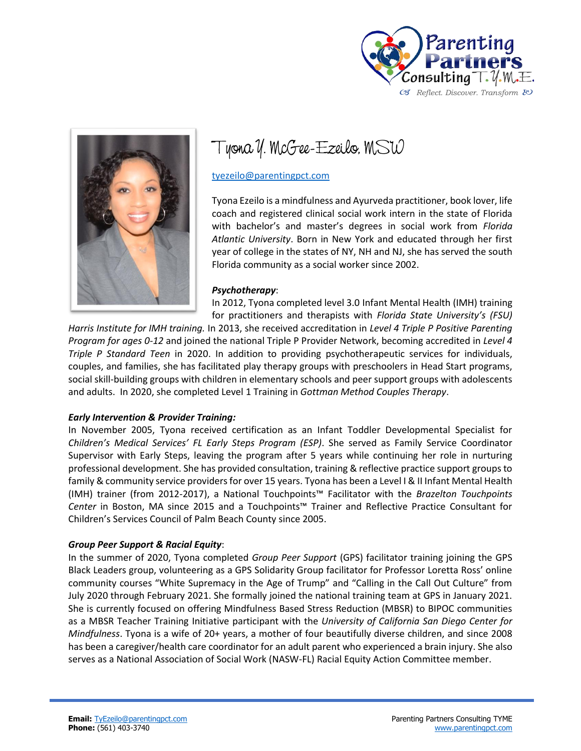



Tyona Y. McGee-Ezeilo, MSW

[tyezeilo@parentingpct.com](mailto:tyezeilo@parentingpct.com)

Tyona Ezeilo is a mindfulness and Ayurveda practitioner, book lover, life coach and registered clinical social work intern in the state of Florida with bachelor's and master's degrees in social work from *Florida Atlantic University*. Born in New York and educated through her first year of college in the states of NY, NH and NJ, she has served the south Florida community as a social worker since 2002.

#### *Psychotherapy*:

In 2012, Tyona completed level 3.0 Infant Mental Health (IMH) training for practitioners and therapists with *Florida State University's (FSU)* 

*Harris Institute for IMH training.* In 2013, she received accreditation in *Level 4 Triple P Positive Parenting Program for ages 0-12* and joined the national Triple P Provider Network, becoming accredited in *Level 4 Triple P Standard Teen* in 2020. In addition to providing psychotherapeutic services for individuals, couples, and families, she has facilitated play therapy groups with preschoolers in Head Start programs, social skill-building groups with children in elementary schools and peer support groups with adolescents and adults. In 2020, she completed Level 1 Training in *Gottman Method Couples Therapy*.

### *Early Intervention & Provider Training:*

In November 2005, Tyona received certification as an Infant Toddler Developmental Specialist for *Children's Medical Services' FL Early Steps Program (ESP)*. She served as Family Service Coordinator Supervisor with Early Steps, leaving the program after 5 years while continuing her role in nurturing professional development. She has provided consultation, training & reflective practice support groups to family & community service providers for over 15 years. Tyona has been a Level I & II Infant Mental Health (IMH) trainer (from 2012-2017), a National Touchpoints™ Facilitator with the *Brazelton Touchpoints Center* in Boston, MA since 2015 and a Touchpoints™ Trainer and Reflective Practice Consultant for Children's Services Council of Palm Beach County since 2005.

### *Group Peer Support & Racial Equity*:

In the summer of 2020, Tyona completed *Group Peer Support* (GPS) facilitator training joining the GPS Black Leaders group, volunteering as a GPS Solidarity Group facilitator for Professor Loretta Ross' online community courses "White Supremacy in the Age of Trump" and "Calling in the Call Out Culture" from July 2020 through February 2021. She formally joined the national training team at GPS in January 2021. She is currently focused on offering Mindfulness Based Stress Reduction (MBSR) to BIPOC communities as a MBSR Teacher Training Initiative participant with the *University of California San Diego Center for Mindfulness*. Tyona is a wife of 20+ years, a mother of four beautifully diverse children, and since 2008 has been a caregiver/health care coordinator for an adult parent who experienced a brain injury. She also serves as a National Association of Social Work (NASW-FL) Racial Equity Action Committee member.